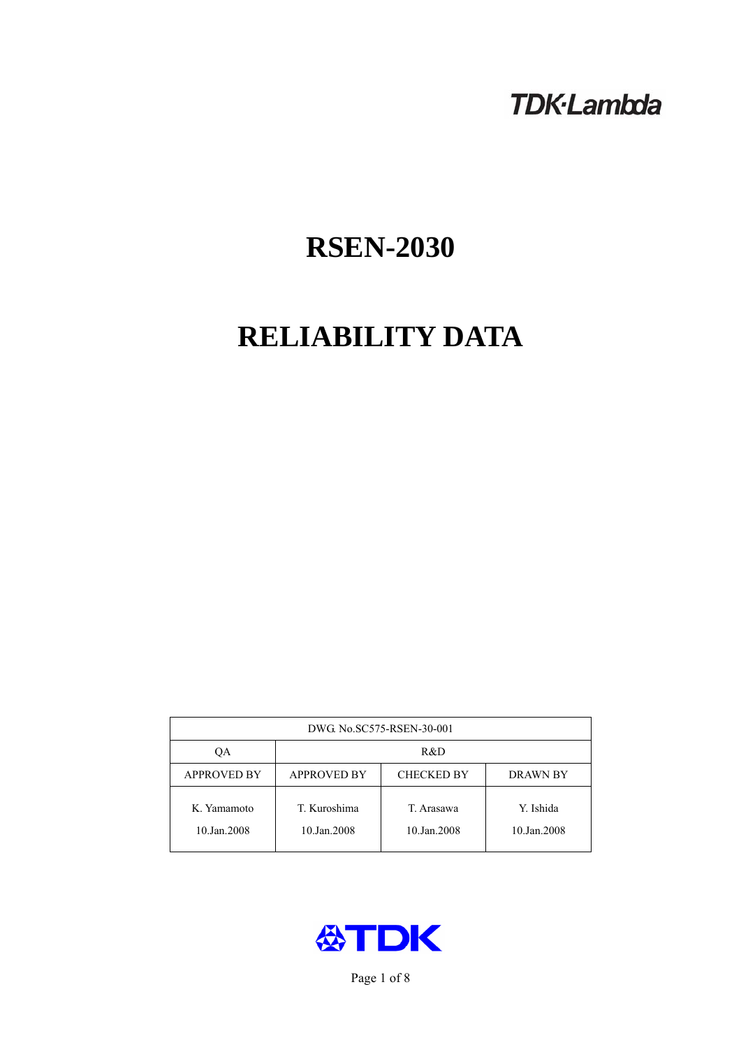## **TDK-Lambda**

# **RSEN-2030**

# **RELIABILITY DATA**

| DWG No.SC575-RSEN-30-001   |                                                            |                           |                          |  |  |
|----------------------------|------------------------------------------------------------|---------------------------|--------------------------|--|--|
| QA                         | R&D                                                        |                           |                          |  |  |
| <b>APPROVED BY</b>         | <b>APPROVED BY</b><br><b>CHECKED BY</b><br><b>DRAWN BY</b> |                           |                          |  |  |
| K. Yamamoto<br>10.Jan.2008 | T. Kuroshima<br>10.Jan.2008                                | T. Arasawa<br>10.Jan.2008 | Y. Ishida<br>10.Jan.2008 |  |  |



Page 1 of 8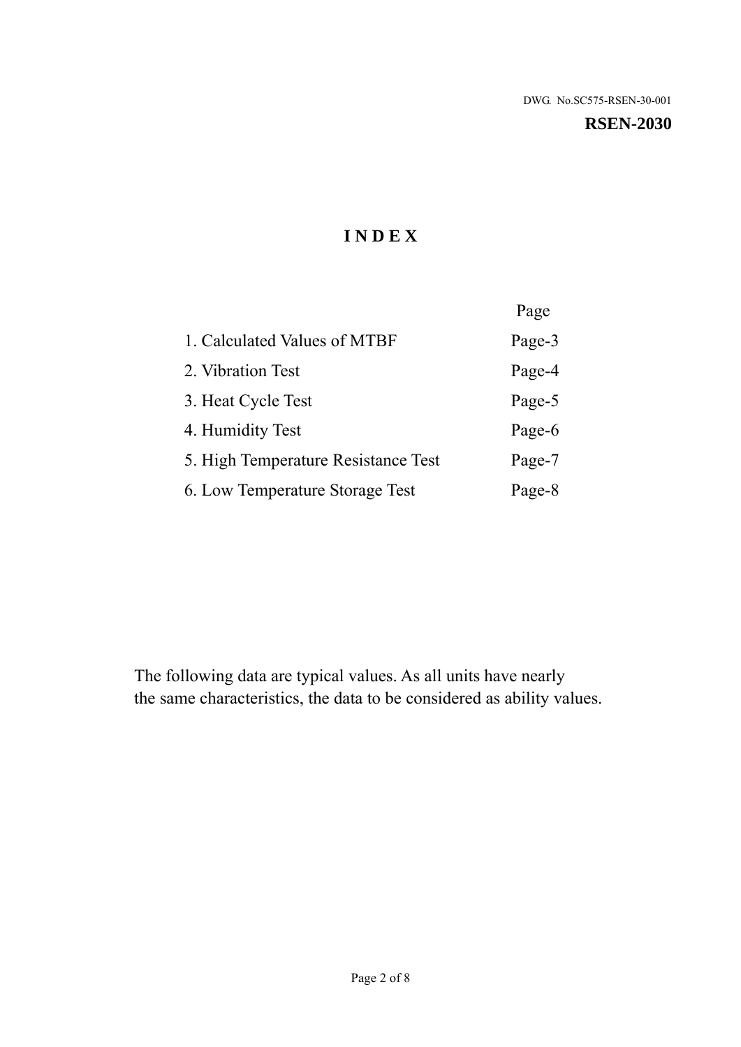#### **RSEN-2030**

## **I N D E X**

|                                     | Page   |
|-------------------------------------|--------|
| 1. Calculated Values of MTBF        | Page-3 |
| 2. Vibration Test                   | Page-4 |
| 3. Heat Cycle Test                  | Page-5 |
| 4. Humidity Test                    | Page-6 |
| 5. High Temperature Resistance Test | Page-7 |
| 6. Low Temperature Storage Test     | Page-8 |

The following data are typical values. As all units have nearly the same characteristics, the data to be considered as ability values.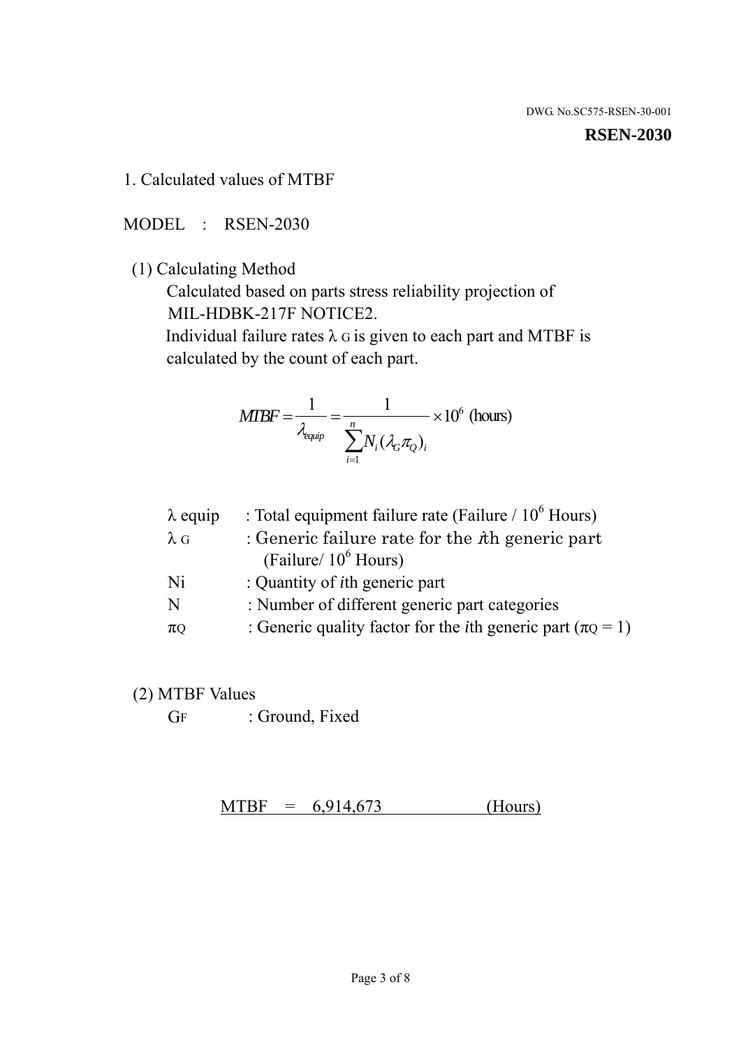#### **RSEN-2030**

1. Calculated values of MTBF

MODEL : RSEN-2030

(1) Calculating Method

 Calculated based on parts stress reliability projection of MIL-HDBK-217F NOTICE2.

Individual failure rates  $\lambda$  G is given to each part and MTBF is calculated by the count of each part.

$$
MTBF = \frac{1}{\lambda_{\text{equip}}} = \frac{1}{\sum_{i=1}^{n} N_i (\lambda_G \pi_Q)_i} \times 10^6 \text{ (hours)}
$$

| $\lambda$ equip | : Total equipment failure rate (Failure / $10^6$ Hours)                   |
|-----------------|---------------------------------------------------------------------------|
| $\lambda$ G     | : Generic failure rate for the $\hbar$ generic part                       |
|                 | (Failure/ $10^6$ Hours)                                                   |
| Ni              | : Quantity of <i>i</i> th generic part                                    |
| N               | : Number of different generic part categories                             |
| $\pi Q$         | : Generic quality factor for the <i>i</i> th generic part ( $\pi Q = 1$ ) |
|                 |                                                                           |

- (2) MTBF Values
	- GF : Ground, Fixed

 $MTBF = 6,914,673$  (Hours)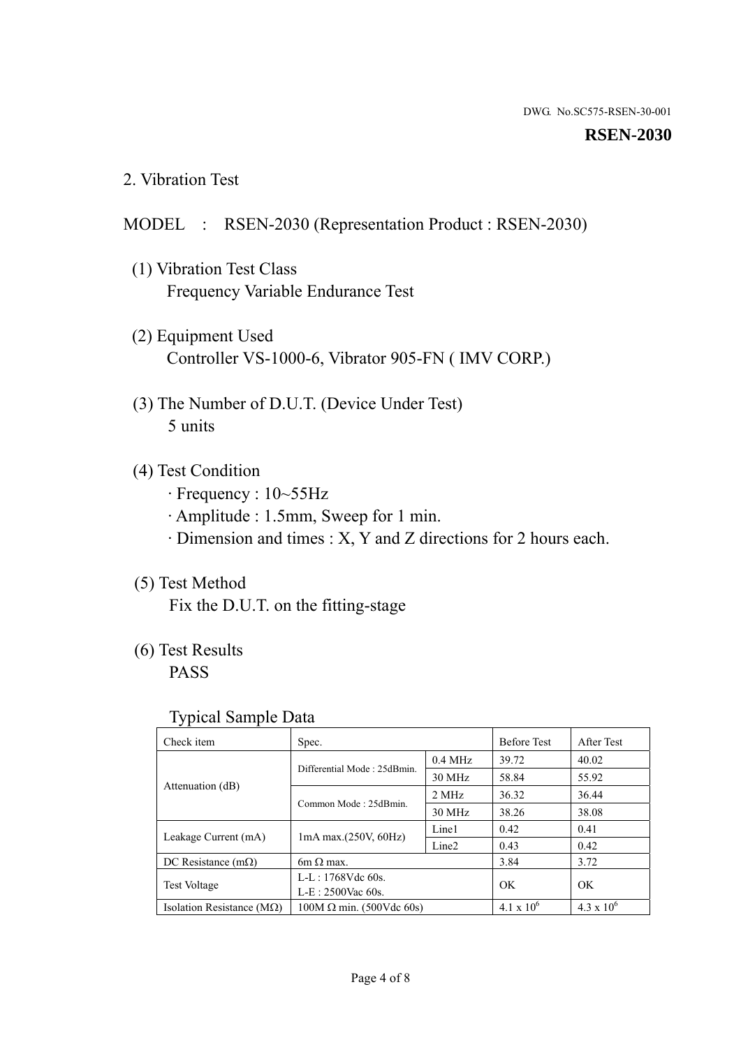#### **RSEN-2030**

2. Vibration Test

## MODEL : RSEN-2030 (Representation Product : RSEN-2030)

- (1) Vibration Test Class Frequency Variable Endurance Test
- (2) Equipment Used Controller VS-1000-6, Vibrator 905-FN ( IMV CORP.)
- (3) The Number of D.U.T. (Device Under Test) 5 units
- (4) Test Condition
	- · Frequency : 10~55Hz
	- · Amplitude : 1.5mm, Sweep for 1 min.
	- · Dimension and times : X, Y and Z directions for 2 hours each.

## (5) Test Method

Fix the D.U.T. on the fitting-stage

## (6) Test Results

PASS

#### Typical Sample Data

| Check item                         | Spec.                           |                   | <b>Before Test</b> | After Test          |
|------------------------------------|---------------------------------|-------------------|--------------------|---------------------|
| Attenuation (dB)                   | Differential Mode: 25dBmin.     | $0.4$ MHz         | 39.72              | 40.02               |
|                                    |                                 | 30 MHz            | 58.84              | 55.92               |
|                                    | Common Mode: 25dBmin.           | 2 MHz             | 36.32              | 36.44               |
|                                    |                                 | 30 MHz            | 38.26              | 38.08               |
| Leakage Current (mA)               | $1mA$ max. $(250V, 60Hz)$       | Line1             | 0.42               | 0.41                |
|                                    |                                 | Line <sub>2</sub> | 0.43               | 0.42                |
| DC Resistance $(m\Omega)$          | $6m \Omega$ max.                |                   | 3.84               | 3.72                |
| <b>Test Voltage</b>                | $L-L: 1768Vdc$ 60s.             |                   |                    |                     |
|                                    | $L-E: 2500$ Vac 60s.            |                   | OK                 | <b>OK</b>           |
| Isolation Resistance ( $M\Omega$ ) | $100M \Omega$ min. (500Vdc 60s) |                   | $4.1 \times 10^6$  | $4.3 \times 10^{6}$ |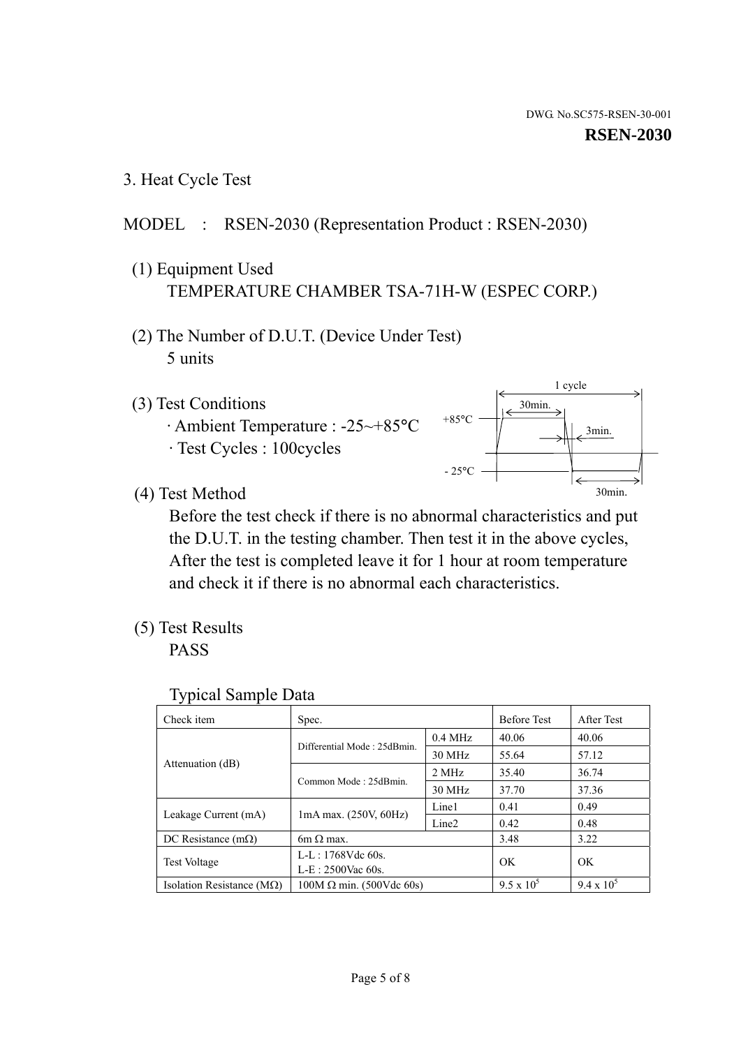1 cycle

30min.

3min.

30min.

3. Heat Cycle Test

## MODEL : RSEN-2030 (Representation Product : RSEN-2030)

- (1) Equipment Used TEMPERATURE CHAMBER TSA-71H-W (ESPEC CORP.)
- (2) The Number of D.U.T. (Device Under Test) 5 units
- (3) Test Conditions
	- · Ambient Temperature : -25~+85°C · Test Cycles : 100cycles
- (4) Test Method

 Before the test check if there is no abnormal characteristics and put the D.U.T. in the testing chamber. Then test it in the above cycles, After the test is completed leave it for 1 hour at room temperature and check it if there is no abnormal each characteristics.

 $+85$ °C

 $-25^{\circ}$ C

(5) Test Results

PASS

| <b>Typical Sample Data</b> |  |  |
|----------------------------|--|--|
|----------------------------|--|--|

| Check item                    | Spec.                           |                   | <b>Before Test</b> | After Test        |
|-------------------------------|---------------------------------|-------------------|--------------------|-------------------|
|                               | Differential Mode: 25dBmin.     | $0.4$ MHz         | 40.06              | 40.06             |
|                               |                                 | 30 MHz            | 55.64              | 57.12             |
| Attenuation (dB)              | Common Mode: 25dBmin.           | 2 MHz             | 35.40              | 36.74             |
|                               |                                 | 30 MHz            | 37.70              | 37.36             |
| Leakage Current (mA)          |                                 | Line1             | 0.41               | 0.49              |
|                               | 1mA max. (250V, 60Hz)           | Line <sub>2</sub> | 0.42               | 0.48              |
| DC Resistance $(m\Omega)$     | $6m \Omega$ max.                |                   | 3.48               | 3.22              |
| <b>Test Voltage</b>           | $L-L: 1768Vdc$ 60s.             |                   | OK                 | OK.               |
|                               | L-E: 2500Vac 60s.               |                   |                    |                   |
| Isolation Resistance ( $MQ$ ) | $100M \Omega$ min. (500Vdc 60s) |                   | $9.5 \times 10^5$  | $9.4 \times 10^5$ |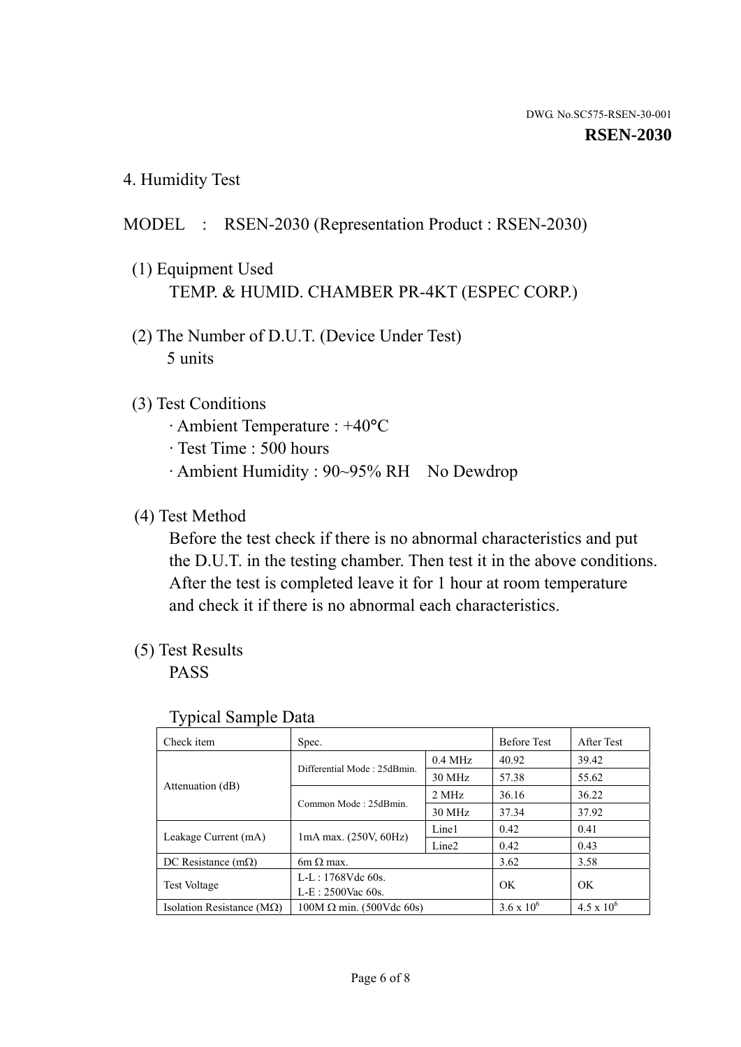4. Humidity Test

## MODEL : RSEN-2030 (Representation Product : RSEN-2030)

- (1) Equipment Used TEMP. & HUMID. CHAMBER PR-4KT (ESPEC CORP.)
- (2) The Number of D.U.T. (Device Under Test) 5 units

## (3) Test Conditions

- · Ambient Temperature : +40°C
- · Test Time : 500 hours
- · Ambient Humidity : 90~95% RH No Dewdrop

## (4) Test Method

 Before the test check if there is no abnormal characteristics and put the D.U.T. in the testing chamber. Then test it in the above conditions. After the test is completed leave it for 1 hour at room temperature and check it if there is no abnormal each characteristics.

## (5) Test Results

PASS

| . .                                |                                 |                   |                     |                     |
|------------------------------------|---------------------------------|-------------------|---------------------|---------------------|
| Check item                         | Spec.                           |                   | <b>Before Test</b>  | After Test          |
| Attenuation (dB)                   | Differential Mode: 25dBmin.     | $0.4$ MHz         | 40.92               | 39.42               |
|                                    |                                 | 30 MHz            | 57.38               | 55.62               |
|                                    | Common Mode: 25dBmin.           | 2 MHz             | 36.16               | 36.22               |
|                                    |                                 | 30 MHz            | 37.34               | 37.92               |
| Leakage Current (mA)               | $1mA$ max. $(250V, 60Hz)$       | Line1             | 0.42                | 0.41                |
|                                    |                                 | Line <sub>2</sub> | 0.42                | 0.43                |
| DC Resistance (m $\Omega$ )        | $6m \Omega$ max.                |                   | 3.62                | 3.58                |
| <b>Test Voltage</b>                | $L-L: 1768Vdc$ 60s.             |                   | OK                  | OK.                 |
|                                    | $L-E$ : 2500Vac 60s.            |                   |                     |                     |
| Isolation Resistance ( $M\Omega$ ) | $100M \Omega$ min. (500Vdc 60s) |                   | $3.6 \times 10^{6}$ | $4.5 \times 10^{6}$ |

#### Typical Sample Data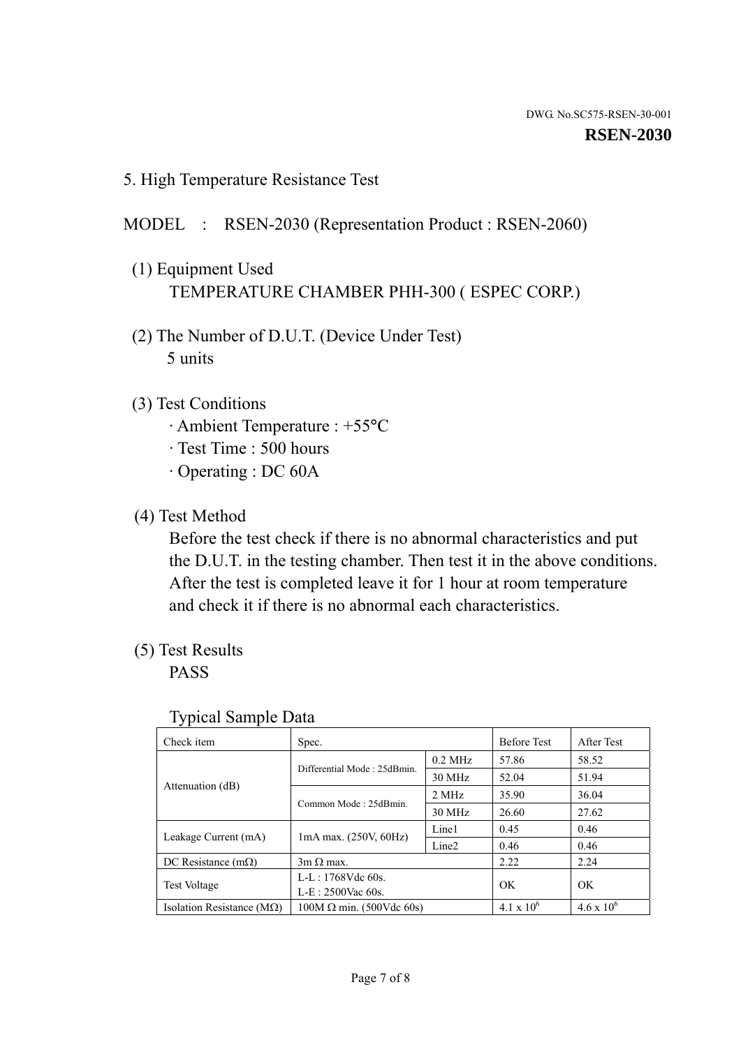5. High Temperature Resistance Test

## MODEL : RSEN-2030 (Representation Product : RSEN-2060)

- (1) Equipment Used TEMPERATURE CHAMBER PHH-300 ( ESPEC CORP.)
- (2) The Number of D.U.T. (Device Under Test) 5 units
- (3) Test Conditions
	- · Ambient Temperature : +55°C
	- · Test Time : 500 hours
	- · Operating : DC 60A
- (4) Test Method

 Before the test check if there is no abnormal characteristics and put the D.U.T. in the testing chamber. Then test it in the above conditions. After the test is completed leave it for 1 hour at room temperature and check it if there is no abnormal each characteristics.

(5) Test Results

PASS

| J 1                                |                                 |                   |                     |                     |
|------------------------------------|---------------------------------|-------------------|---------------------|---------------------|
| Check item                         | Spec.                           |                   | <b>Before Test</b>  | After Test          |
|                                    | Differential Mode: 25dBmin.     | $0.2$ MHz         | 57.86               | 58.52               |
|                                    |                                 | 30 MHz            | 52.04               | 51.94               |
| Attenuation (dB)                   | Common Mode: 25dBmin.           | 2 MHz             | 35.90               | 36.04               |
|                                    |                                 | 30 MHz            | 26.60               | 27.62               |
|                                    |                                 | Line1             | 0.45                | 0.46                |
| Leakage Current (mA)               | $1mA$ max. $(250V, 60Hz)$       | Line <sub>2</sub> | 0.46                | 0.46                |
| DC Resistance $(m\Omega)$          | $3m \Omega$ max.                |                   | 2.22                | 2.24                |
| <b>Test Voltage</b>                | $L-L: 1768Vdc$ 60s.             |                   | OK                  | OK                  |
|                                    | $L-E: 2500$ Vac 60s.            |                   |                     |                     |
| Isolation Resistance ( $M\Omega$ ) | $100M \Omega$ min. (500Vdc 60s) |                   | $4.1 \times 10^{6}$ | $4.6 \times 10^{6}$ |

#### Typical Sample Data